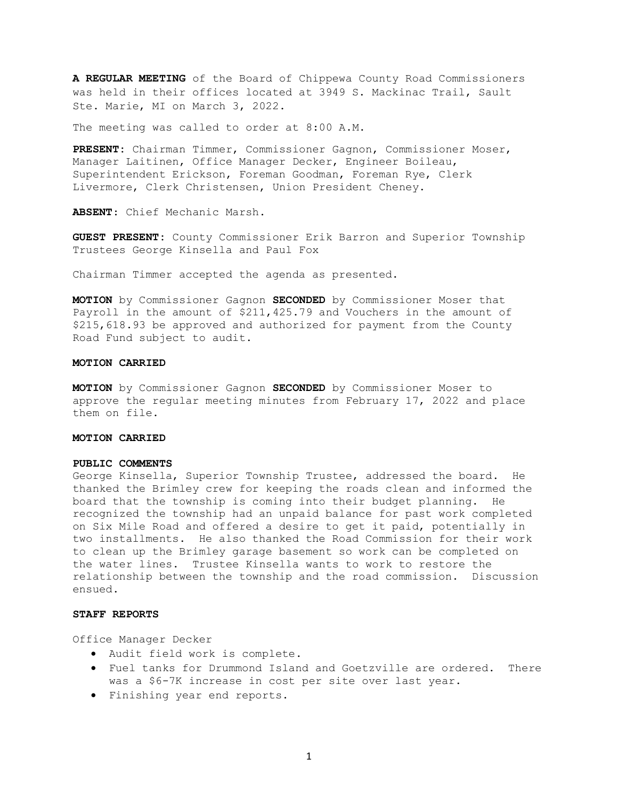**A REGULAR MEETING** of the Board of Chippewa County Road Commissioners was held in their offices located at 3949 S. Mackinac Trail, Sault Ste. Marie, MI on March 3, 2022.

The meeting was called to order at 8:00 A.M.

**PRESENT:** Chairman Timmer, Commissioner Gagnon, Commissioner Moser, Manager Laitinen, Office Manager Decker, Engineer Boileau, Superintendent Erickson, Foreman Goodman, Foreman Rye, Clerk Livermore, Clerk Christensen, Union President Cheney.

**ABSENT**: Chief Mechanic Marsh.

**GUEST PRESENT:** County Commissioner Erik Barron and Superior Township Trustees George Kinsella and Paul Fox

Chairman Timmer accepted the agenda as presented.

**MOTION** by Commissioner Gagnon **SECONDED** by Commissioner Moser that Payroll in the amount of \$211,425.79 and Vouchers in the amount of \$215,618.93 be approved and authorized for payment from the County Road Fund subject to audit.

## **MOTION CARRIED**

**MOTION** by Commissioner Gagnon **SECONDED** by Commissioner Moser to approve the regular meeting minutes from February 17, 2022 and place them on file.

# **MOTION CARRIED**

#### **PUBLIC COMMENTS**

George Kinsella, Superior Township Trustee, addressed the board. He thanked the Brimley crew for keeping the roads clean and informed the board that the township is coming into their budget planning. He recognized the township had an unpaid balance for past work completed on Six Mile Road and offered a desire to get it paid, potentially in two installments. He also thanked the Road Commission for their work to clean up the Brimley garage basement so work can be completed on the water lines. Trustee Kinsella wants to work to restore the relationship between the township and the road commission. Discussion ensued.

## **STAFF REPORTS**

Office Manager Decker

- Audit field work is complete.
- Fuel tanks for Drummond Island and Goetzville are ordered. There was a \$6-7K increase in cost per site over last year.
- Finishing year end reports.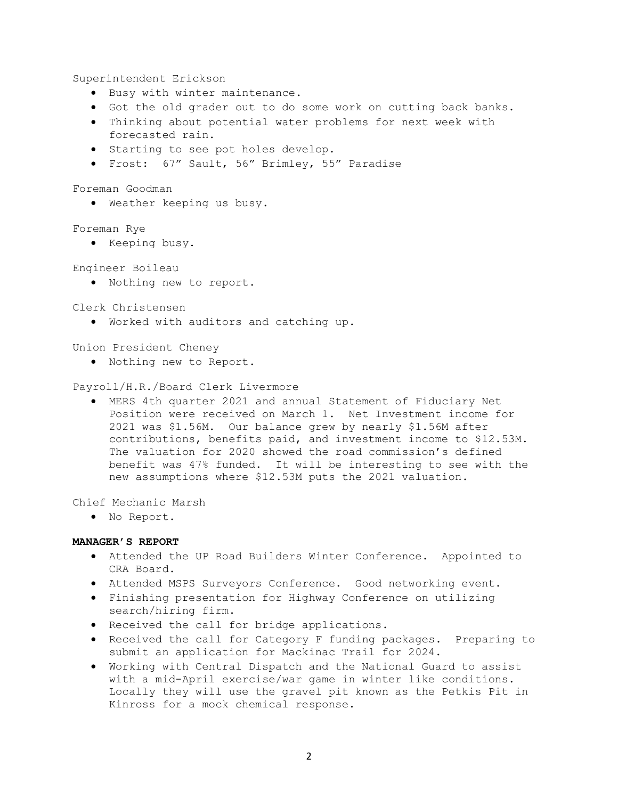Superintendent Erickson

- Busy with winter maintenance.
- Got the old grader out to do some work on cutting back banks.
- Thinking about potential water problems for next week with forecasted rain.
- Starting to see pot holes develop.
- Frost: 67" Sault, 56" Brimley, 55" Paradise

Foreman Goodman

• Weather keeping us busy.

Foreman Rye

• Keeping busy.

Engineer Boileau

• Nothing new to report.

Clerk Christensen

• Worked with auditors and catching up.

Union President Cheney

• Nothing new to Report.

Payroll/H.R./Board Clerk Livermore

• MERS 4th quarter 2021 and annual Statement of Fiduciary Net Position were received on March 1. Net Investment income for 2021 was \$1.56M. Our balance grew by nearly \$1.56M after contributions, benefits paid, and investment income to \$12.53M. The valuation for 2020 showed the road commission's defined benefit was 47% funded. It will be interesting to see with the new assumptions where \$12.53M puts the 2021 valuation.

Chief Mechanic Marsh

• No Report.

# **MANAGER'S REPORT**

- Attended the UP Road Builders Winter Conference. Appointed to CRA Board.
- Attended MSPS Surveyors Conference. Good networking event.
- Finishing presentation for Highway Conference on utilizing search/hiring firm.
- Received the call for bridge applications.
- Received the call for Category F funding packages. Preparing to submit an application for Mackinac Trail for 2024.
- Working with Central Dispatch and the National Guard to assist with a mid-April exercise/war game in winter like conditions. Locally they will use the gravel pit known as the Petkis Pit in Kinross for a mock chemical response.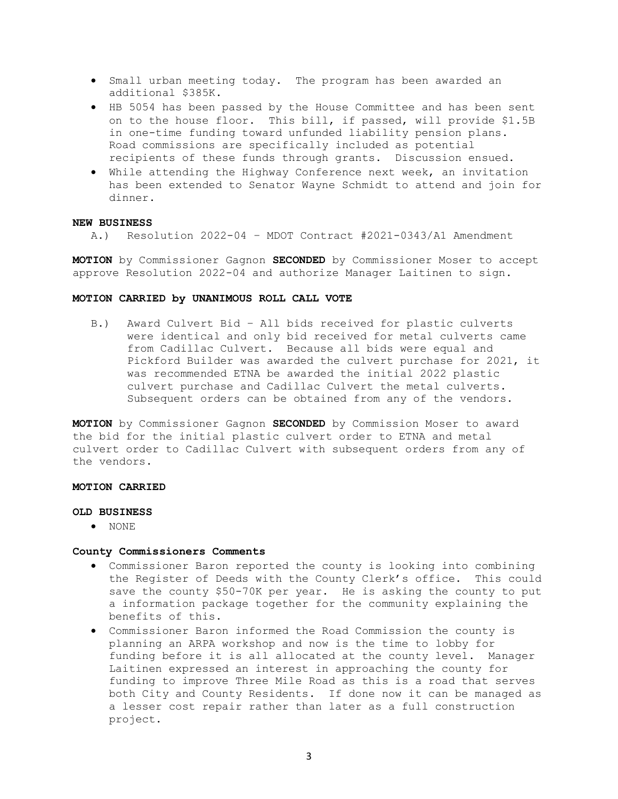- Small urban meeting today. The program has been awarded an additional \$385K.
- HB 5054 has been passed by the House Committee and has been sent on to the house floor. This bill, if passed, will provide \$1.5B in one-time funding toward unfunded liability pension plans. Road commissions are specifically included as potential recipients of these funds through grants. Discussion ensued.
- While attending the Highway Conference next week, an invitation has been extended to Senator Wayne Schmidt to attend and join for dinner.

## **NEW BUSINESS**

A.) Resolution 2022-04 – MDOT Contract #2021-0343/A1 Amendment

**MOTION** by Commissioner Gagnon **SECONDED** by Commissioner Moser to accept approve Resolution 2022-04 and authorize Manager Laitinen to sign.

### **MOTION CARRIED by UNANIMOUS ROLL CALL VOTE**

B.) Award Culvert Bid – All bids received for plastic culverts were identical and only bid received for metal culverts came from Cadillac Culvert. Because all bids were equal and Pickford Builder was awarded the culvert purchase for 2021, it was recommended ETNA be awarded the initial 2022 plastic culvert purchase and Cadillac Culvert the metal culverts. Subsequent orders can be obtained from any of the vendors.

**MOTION** by Commissioner Gagnon **SECONDED** by Commission Moser to award the bid for the initial plastic culvert order to ETNA and metal culvert order to Cadillac Culvert with subsequent orders from any of the vendors.

### **MOTION CARRIED**

## **OLD BUSINESS**

• NONE

### **County Commissioners Comments**

- Commissioner Baron reported the county is looking into combining the Register of Deeds with the County Clerk's office. This could save the county \$50-70K per year. He is asking the county to put a information package together for the community explaining the benefits of this.
- Commissioner Baron informed the Road Commission the county is planning an ARPA workshop and now is the time to lobby for funding before it is all allocated at the county level. Manager Laitinen expressed an interest in approaching the county for funding to improve Three Mile Road as this is a road that serves both City and County Residents. If done now it can be managed as a lesser cost repair rather than later as a full construction project.